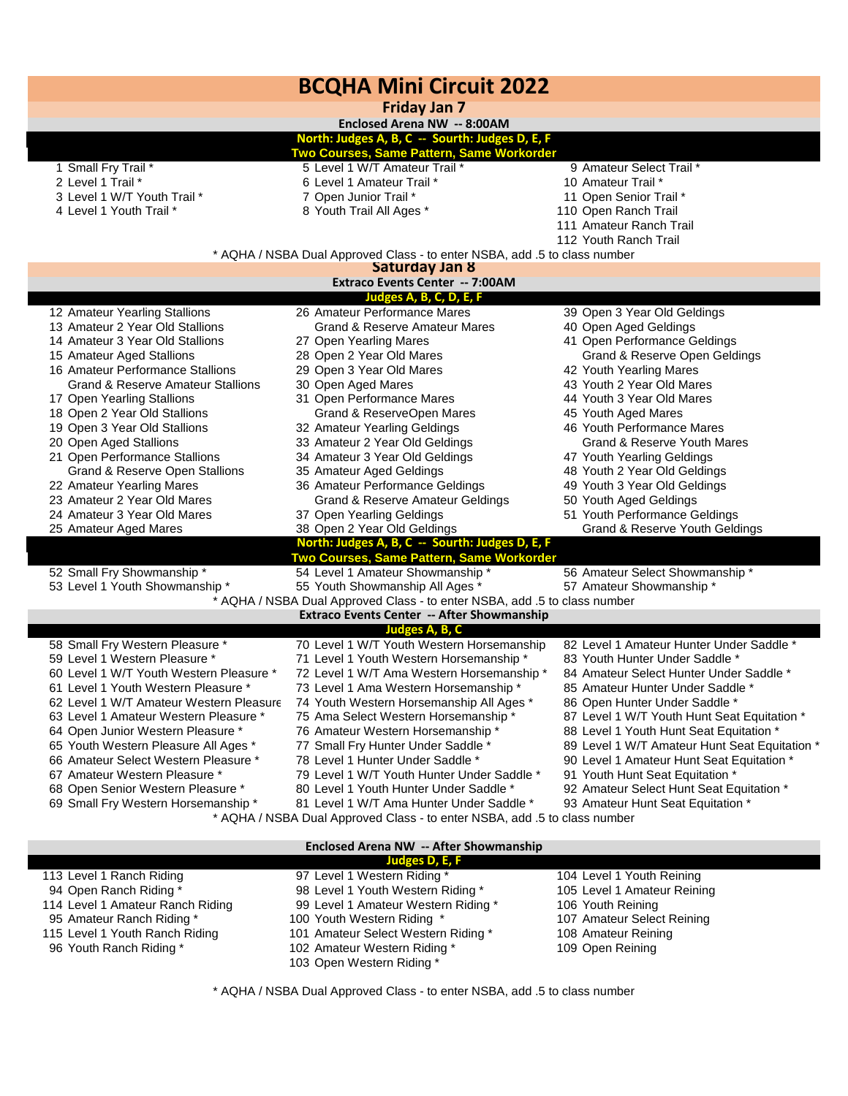| <b>BCQHA Mini Circuit 2022</b>                                                                                          |                                                                                    |                                                                               |  |  |
|-------------------------------------------------------------------------------------------------------------------------|------------------------------------------------------------------------------------|-------------------------------------------------------------------------------|--|--|
| <b>Friday Jan 7</b>                                                                                                     |                                                                                    |                                                                               |  |  |
| Enclosed Arena NW -- 8:00AM<br>North: Judges A, B, C -- Sourth: Judges D, E, F                                          |                                                                                    |                                                                               |  |  |
|                                                                                                                         | Two Courses, Same Pattern, Same Workorder                                          |                                                                               |  |  |
| 1 Small Fry Trail *                                                                                                     | 5 Level 1 W/T Amateur Trail *                                                      | 9 Amateur Select Trail *                                                      |  |  |
| 2 Level 1 Trail *                                                                                                       | 6 Level 1 Amateur Trail *                                                          | 10 Amateur Trail *                                                            |  |  |
| 3 Level 1 W/T Youth Trail *                                                                                             | 7 Open Junior Trail *                                                              | 11 Open Senior Trail *                                                        |  |  |
| 4 Level 1 Youth Trail *                                                                                                 | 8 Youth Trail All Ages *                                                           | 110 Open Ranch Trail                                                          |  |  |
|                                                                                                                         |                                                                                    | 111 Amateur Ranch Trail                                                       |  |  |
|                                                                                                                         |                                                                                    | 112 Youth Ranch Trail                                                         |  |  |
|                                                                                                                         | * AQHA / NSBA Dual Approved Class - to enter NSBA, add .5 to class number          |                                                                               |  |  |
|                                                                                                                         | <b>Saturday Jan 8</b>                                                              |                                                                               |  |  |
|                                                                                                                         | <b>Extraco Events Center -- 7:00AM</b>                                             |                                                                               |  |  |
| 12 Amateur Yearling Stallions                                                                                           | Judges A, B, C, D, E, F<br>26 Amateur Performance Mares                            | 39 Open 3 Year Old Geldings                                                   |  |  |
| 13 Amateur 2 Year Old Stallions                                                                                         | <b>Grand &amp; Reserve Amateur Mares</b>                                           | 40 Open Aged Geldings                                                         |  |  |
| 14 Amateur 3 Year Old Stallions                                                                                         | 27 Open Yearling Mares                                                             | 41 Open Performance Geldings                                                  |  |  |
| 15 Amateur Aged Stallions                                                                                               | 28 Open 2 Year Old Mares                                                           | Grand & Reserve Open Geldings                                                 |  |  |
| 16 Amateur Performance Stallions                                                                                        | 29 Open 3 Year Old Mares                                                           | 42 Youth Yearling Mares                                                       |  |  |
| <b>Grand &amp; Reserve Amateur Stallions</b>                                                                            | 30 Open Aged Mares                                                                 | 43 Youth 2 Year Old Mares                                                     |  |  |
| 17 Open Yearling Stallions                                                                                              | 31 Open Performance Mares                                                          | 44 Youth 3 Year Old Mares                                                     |  |  |
| 18 Open 2 Year Old Stallions                                                                                            | Grand & ReserveOpen Mares                                                          | 45 Youth Aged Mares                                                           |  |  |
| 19 Open 3 Year Old Stallions                                                                                            | 32 Amateur Yearling Geldings                                                       | 46 Youth Performance Mares                                                    |  |  |
| 20 Open Aged Stallions                                                                                                  | 33 Amateur 2 Year Old Geldings                                                     | Grand & Reserve Youth Mares                                                   |  |  |
| 21 Open Performance Stallions                                                                                           | 34 Amateur 3 Year Old Geldings                                                     | 47 Youth Yearling Geldings                                                    |  |  |
| Grand & Reserve Open Stallions                                                                                          | 35 Amateur Aged Geldings                                                           | 48 Youth 2 Year Old Geldings                                                  |  |  |
| 22 Amateur Yearling Mares                                                                                               | 36 Amateur Performance Geldings                                                    | 49 Youth 3 Year Old Geldings                                                  |  |  |
| 23 Amateur 2 Year Old Mares                                                                                             | <b>Grand &amp; Reserve Amateur Geldings</b>                                        | 50 Youth Aged Geldings                                                        |  |  |
| 24 Amateur 3 Year Old Mares                                                                                             | 37 Open Yearling Geldings                                                          | 51 Youth Performance Geldings                                                 |  |  |
| 25 Amateur Aged Mares                                                                                                   | 38 Open 2 Year Old Geldings                                                        | <b>Grand &amp; Reserve Youth Geldings</b>                                     |  |  |
|                                                                                                                         | North: Judges A, B, C -- Sourth: Judges D, E, F                                    |                                                                               |  |  |
| 52 Small Fry Showmanship *                                                                                              | Two Courses, Same Pattern, Same Workorder<br>54 Level 1 Amateur Showmanship*       | 56 Amateur Select Showmanship*                                                |  |  |
| 53 Level 1 Youth Showmanship *                                                                                          | 55 Youth Showmanship All Ages *                                                    | 57 Amateur Showmanship *                                                      |  |  |
|                                                                                                                         |                                                                                    |                                                                               |  |  |
| * AQHA / NSBA Dual Approved Class - to enter NSBA, add .5 to class number<br>Extraco Events Center -- After Showmanship |                                                                                    |                                                                               |  |  |
| Judges A, B, C                                                                                                          |                                                                                    |                                                                               |  |  |
| 58 Small Fry Western Pleasure *                                                                                         | 70 Level 1 W/T Youth Western Horsemanship                                          | 82 Level 1 Amateur Hunter Under Saddle *                                      |  |  |
| 59 Level 1 Western Pleasure *                                                                                           | 71 Level 1 Youth Western Horsemanship *                                            | 83 Youth Hunter Under Saddle *                                                |  |  |
| 60 Level 1 W/T Youth Western Pleasure *                                                                                 | 72 Level 1 W/T Ama Western Horsemanship *                                          | 84 Amateur Select Hunter Under Saddle *                                       |  |  |
| 61 Level 1 Youth Western Pleasure                                                                                       | 73 Level 1 Ama Western Horsemanship                                                | 85 Amateur Hunter Under Saddle *                                              |  |  |
| 62 Level 1 W/T Amateur Western Pleasure                                                                                 | 74 Youth Western Horsemanship All Ages *                                           | 86 Open Hunter Under Saddle *                                                 |  |  |
| 63 Level 1 Amateur Western Pleasure *                                                                                   | 75 Ama Select Western Horsemanship *                                               | 87 Level 1 W/T Youth Hunt Seat Equitation *                                   |  |  |
| 64 Open Junior Western Pleasure *                                                                                       | 76 Amateur Western Horsemanship *                                                  | 88 Level 1 Youth Hunt Seat Equitation *                                       |  |  |
| 65 Youth Western Pleasure All Ages *                                                                                    | 77 Small Fry Hunter Under Saddle *                                                 | 89 Level 1 W/T Amateur Hunt Seat Equitation *                                 |  |  |
| 66 Amateur Select Western Pleasure *                                                                                    | 78 Level 1 Hunter Under Saddle *                                                   | 90 Level 1 Amateur Hunt Seat Equitation *                                     |  |  |
| 67 Amateur Western Pleasure *<br>68 Open Senior Western Pleasure *                                                      | 79 Level 1 W/T Youth Hunter Under Saddle *                                         | 91 Youth Hunt Seat Equitation *                                               |  |  |
| 69 Small Fry Western Horsemanship *                                                                                     | 80 Level 1 Youth Hunter Under Saddle *<br>81 Level 1 W/T Ama Hunter Under Saddle * | 92 Amateur Select Hunt Seat Equitation *<br>93 Amateur Hunt Seat Equitation * |  |  |
| * AQHA / NSBA Dual Approved Class - to enter NSBA, add .5 to class number                                               |                                                                                    |                                                                               |  |  |
|                                                                                                                         |                                                                                    |                                                                               |  |  |
| Enclosed Arena NW -- After Showmanship                                                                                  |                                                                                    |                                                                               |  |  |

| Judges D, E, F                   |                                     |                             |  |  |
|----------------------------------|-------------------------------------|-----------------------------|--|--|
| 113 Level 1 Ranch Riding         | 97 Level 1 Western Riding *         | 104 Level 1 Youth Reining   |  |  |
| 94 Open Ranch Riding *           | 98 Level 1 Youth Western Riding *   | 105 Level 1 Amateur Reining |  |  |
| 114 Level 1 Amateur Ranch Riding | 99 Level 1 Amateur Western Riding * | 106 Youth Reining           |  |  |
| 95 Amateur Ranch Riding *        | 100 Youth Western Riding *          | 107 Amateur Select Reining  |  |  |
| 115 Level 1 Youth Ranch Riding   | 101 Amateur Select Western Riding * | 108 Amateur Reining         |  |  |
| 96 Youth Ranch Riding *          | 102 Amateur Western Riding *        | 109 Open Reining            |  |  |
|                                  | 103 Open Western Riding *           |                             |  |  |

I

\* AQHA / NSBA Dual Approved Class - to enter NSBA, add .5 to class number